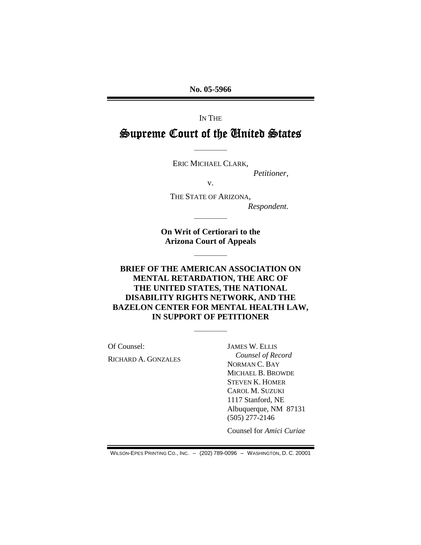**No. 05-5966**

IN THE

# **Supreme Court of the United States**

ERIC MICHAEL CLARK,

————

*Petitioner*,

v.

THE STATE OF ARIZONA, *Respondent.*

**On Writ of Certiorari to the Arizona Court of Appeals**

————

————

**BRIEF OF THE AMERICAN ASSOCIATION ON MENTAL RETARDATION, THE ARC OF THE UNITED STATES, THE NATIONAL DISABILITY RIGHTS NETWORK, AND THE BAZELON CENTER FOR MENTAL HEALTH LAW, IN SUPPORT OF PETITIONER**

————

Of Counsel: RICHARD A. GONZALES JAMES W. ELLIS *Counsel of Record* NORMAN C. BAY MICHAEL B. BROWDE STEVEN K. HOMER CAROL M. SUZUKI 1117 Stanford, NE Albuquerque, NM 87131 (505) 277-2146

Counsel for *Amici Curiae*

WILSON-EPES PRINTING CO., INC. – (202) 789-0096 – WASHINGTON, D. C. 20001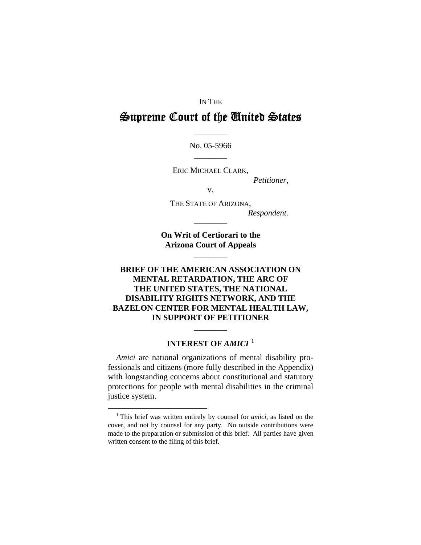IN THE

# Supreme Court of the United States

———— No. 05-5966 ————

ERIC MICHAEL CLARK,

*Petitioner*,

v.

THE STATE OF ARIZONA, *Respondent.* 

**On Writ of Certiorari to the Arizona Court of Appeals** 

————

————

### **BRIEF OF THE AMERICAN ASSOCIATION ON MENTAL RETARDATION, THE ARC OF THE UNITED STATES, THE NATIONAL DISABILITY RIGHTS NETWORK, AND THE BAZELON CENTER FOR MENTAL HEALTH LAW, IN SUPPORT OF PETITIONER**

### **INTEREST OF** *AMICI* [1](#page-1-0)

————

*Amici* are national organizations of mental disability professionals and citizens (more fully described in the Appendix) with longstanding concerns about constitutional and statutory protections for people with mental disabilities in the criminal justice system.

<span id="page-1-0"></span> $\frac{1}{1}$ <sup>1</sup> This brief was written entirely by counsel for *amici*, as listed on the cover, and not by counsel for any party. No outside contributions were made to the preparation or submission of this brief. All parties have given written consent to the filing of this brief.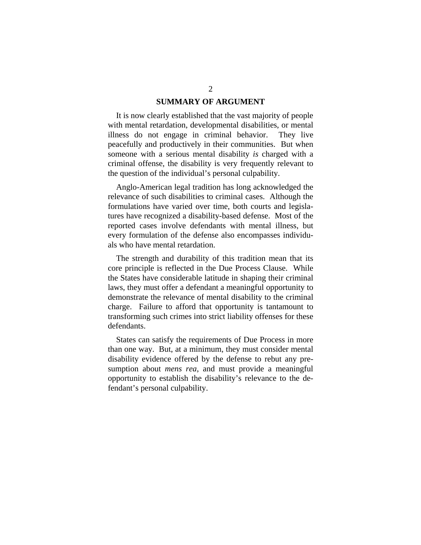#### **SUMMARY OF ARGUMENT**

It is now clearly established that the vast majority of people with mental retardation, developmental disabilities, or mental illness do not engage in criminal behavior. They live peacefully and productively in their communities. But when someone with a serious mental disability *is* charged with a criminal offense, the disability is very frequently relevant to the question of the individual's personal culpability.

Anglo-American legal tradition has long acknowledged the relevance of such disabilities to criminal cases. Although the formulations have varied over time, both courts and legislatures have recognized a disability-based defense. Most of the reported cases involve defendants with mental illness, but every formulation of the defense also encompasses individuals who have mental retardation.

The strength and durability of this tradition mean that its core principle is reflected in the Due Process Clause. While the States have considerable latitude in shaping their criminal laws, they must offer a defendant a meaningful opportunity to demonstrate the relevance of mental disability to the criminal charge. Failure to afford that opportunity is tantamount to transforming such crimes into strict liability offenses for these defendants.

States can satisfy the requirements of Due Process in more than one way. But, at a minimum, they must consider mental disability evidence offered by the defense to rebut any presumption about *mens rea*, and must provide a meaningful opportunity to establish the disability's relevance to the defendant's personal culpability.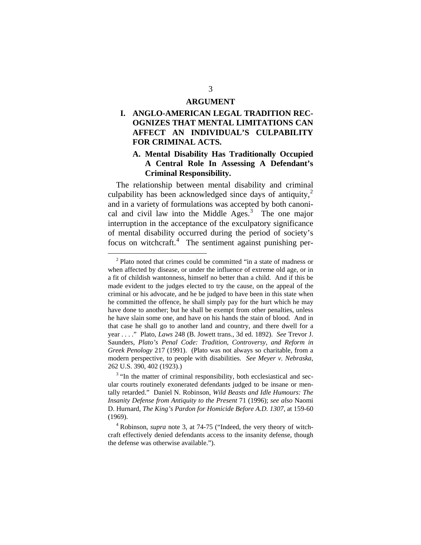#### **ARGUMENT**

### **I. ANGLO-AMERICAN LEGAL TRADITION REC-OGNIZES THAT MENTAL LIMITATIONS CAN AFFECT AN INDIVIDUAL'S CULPABILITY FOR CRIMINAL ACTS.**

#### **A. Mental Disability Has Traditionally Occupied A Central Role In Assessing A Defendant's Criminal Responsibility.**

The relationship between mental disability and criminal culpability has been acknowledged since days of antiquity, $\frac{2}{x}$  $\frac{2}{x}$  $\frac{2}{x}$ and in a variety of formulations was accepted by both canonical and civil law into the Middle  $Ages.<sup>3</sup>$  $Ages.<sup>3</sup>$  $Ages.<sup>3</sup>$  The one major interruption in the acceptance of the exculpatory significance of mental disability occurred during the period of society's focus on witchcraft.<sup>[4](#page-3-2)</sup> The sentiment against punishing per-

<span id="page-3-0"></span><sup>&</sup>lt;sup>2</sup> Plato noted that crimes could be committed "in a state of madness or when affected by disease, or under the influence of extreme old age, or in a fit of childish wantonness, himself no better than a child. And if this be made evident to the judges elected to try the cause, on the appeal of the criminal or his advocate, and he be judged to have been in this state when he committed the offence, he shall simply pay for the hurt which he may have done to another; but he shall be exempt from other penalties, unless he have slain some one, and have on his hands the stain of blood. And in that case he shall go to another land and country, and there dwell for a year . . . ." Plato, *Laws* 248 (B. Jowett trans., 3d ed. 1892). *See* Trevor J. Saunders, *Plato's Penal Code: Tradition, Controversy, and Reform in Greek Penology* 217 (1991). (Plato was not always so charitable, from a modern perspective, to people with disabilities. *See Meyer v. Nebraska*, 262 U.S. 390, 402 (1923).)

<span id="page-3-1"></span><sup>&</sup>lt;sup>3</sup> "In the matter of criminal responsibility, both ecclesiastical and secular courts routinely exonerated defendants judged to be insane or mentally retarded." Daniel N. Robinson, *Wild Beasts and Idle Humours: The Insanity Defense from Antiquity to the Present* 71 (1996); *see also* Naomi D. Hurnard, *The King's Pardon for Homicide Before A.D. 1307*, at 159-60 (1969).

<span id="page-3-2"></span><sup>&</sup>lt;sup>4</sup> Robinson, *supra* note 3, at 74-75 ("Indeed, the very theory of witchcraft effectively denied defendants access to the insanity defense, though the defense was otherwise available.").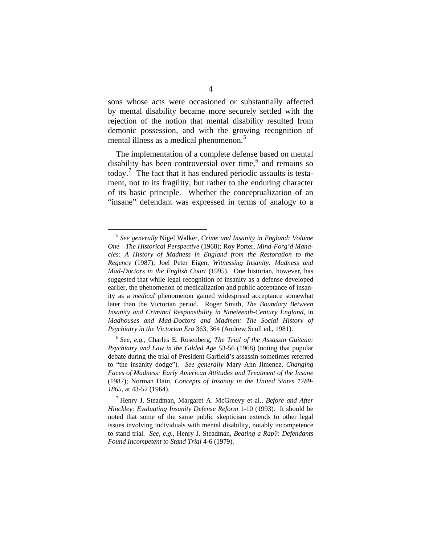sons whose acts were occasioned or substantially affected by mental disability became more securely settled with the rejection of the notion that mental disability resulted from demonic possession, and with the growing recognition of mental illness as a medical phenomenon.<sup>[5](#page-4-0)</sup>

The implementation of a complete defense based on mental disability has been controversial over time,<sup>[6](#page-4-1)</sup> and remains so today.<sup>[7](#page-4-2)</sup> The fact that it has endured periodic assaults is testament, not to its fragility, but rather to the enduring character of its basic principle. Whether the conceptualization of an "insane" defendant was expressed in terms of analogy to a

<span id="page-4-0"></span> <sup>5</sup> *See generally* Nigel Walker, *Crime and Insanity in England: Volume One—The Historical Perspective* (1968); Roy Porter, *Mind-Forg'd Manacles: A History of Madness in England from the Restoration to the Regency* (1987); Joel Peter Eigen, *Witnessing Insanity: Madness and Mad-Doctors in the English Court* (1995). One historian, however, has suggested that while legal recognition of insanity as a defense developed earlier, the phenomenon of medicalization and public acceptance of insanity as a *medical* phenomenon gained widespread acceptance somewhat later than the Victorian period. Roger Smith, *The Boundary Between Insanity and Criminal Responsibility in Nineteenth-Century England*, in *Madhouses and Mad-Doctors and Madmen: The Social History of Psychiatry in the Victorian Era* 363, 364 (Andrew Scull ed., 1981).

<span id="page-4-1"></span><sup>6</sup> *See, e.g.*, Charles E. Rosenberg, *The Trial of the Assassin Guiteau: Psychiatry and Law in the Gilded Age* 53-56 (1968) (noting that popular debate during the trial of President Garfield's assassin sometimes referred to "the insanity dodge"). *See generally* Mary Ann Jimenez, *Changing Faces of Madness: Early American Attitudes and Treatment of the Insane* (1987); Norman Dain, *Concepts of Insanity in the United States 1789- 1865*, at 43-52 (1964).

<span id="page-4-2"></span><sup>7</sup> Henry J. Steadman, Margaret A. McGreevy et al., *Before and After Hinckley: Evaluating Insanity Defense Reform* 1-10 (1993). It should be noted that some of the same public skepticism extends to other legal issues involving individuals with mental disability, notably incompetence to stand trial. *See, e.g.*, Henry J. Steadman, *Beating a Rap?: Defendants Found Incompetent to Stand Trial* 4-6 (1979).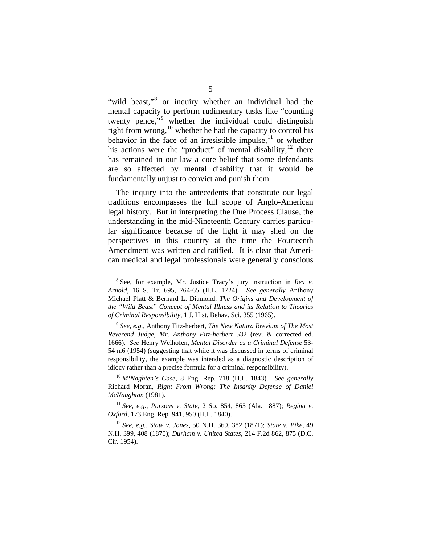"wild beast,"<sup>[8](#page-5-0)</sup> or inquiry whether an individual had the mental capacity to perform rudimentary tasks like "counting twenty pence,"<sup>[9](#page-5-1)</sup> whether the individual could distinguish right from wrong,<sup>[10](#page-5-2)</sup> whether he had the capacity to control his behavior in the face of an irresistible impulse, $11$  or whether his actions were the "product" of mental disability, $^{12}$  $^{12}$  $^{12}$  there has remained in our law a core belief that some defendants are so affected by mental disability that it would be fundamentally unjust to convict and punish them.

The inquiry into the antecedents that constitute our legal traditions encompasses the full scope of Anglo-American legal history. But in interpreting the Due Process Clause, the understanding in the mid-Nineteenth Century carries particular significance because of the light it may shed on the perspectives in this country at the time the Fourteenth Amendment was written and ratified. It is clear that American medical and legal professionals were generally conscious

<span id="page-5-0"></span><sup>&</sup>lt;sup>8</sup> See, for example, Mr. Justice Tracy's jury instruction in *Rex v*. *Arnold*, 16 S. Tr. 695, 764-65 (H.L. 1724). *See generally* Anthony Michael Platt & Bernard L. Diamond, *The Origins and Development of the "Wild Beast" Concept of Mental Illness and its Relation to Theories of Criminal Responsibility*, 1 J. Hist. Behav. Sci. 355 (1965).

<span id="page-5-1"></span><sup>9</sup> *See, e.g.*, Anthony Fitz-herbert, *The New Natura Brevium of The Most Reverend Judge, Mr. Anthony Fitz-herbert* 532 (rev. & corrected ed. 1666). *See* Henry Weihofen, *Mental Disorder as a Criminal Defense* 53- 54 n.6 (1954) (suggesting that while it was discussed in terms of criminal responsibility, the example was intended as a diagnostic description of idiocy rather than a precise formula for a criminal responsibility).

<span id="page-5-2"></span><sup>10</sup> *M'Naghten's Case*, 8 Eng. Rep. 718 (H.L. 1843). *See generally* Richard Moran, *Right From Wrong: The Insanity Defense of Daniel McNaughtan* (1981).

<span id="page-5-3"></span><sup>11</sup> *See, e.g.*, *Parsons v. State*, 2 So. 854, 865 (Ala. 1887); *Regina v. Oxford*, 173 Eng. Rep. 941, 950 (H.L. 1840).

<span id="page-5-4"></span><sup>12</sup> *See, e.g.*, *State v. Jones*, 50 N.H. 369, 382 (1871); *State v. Pike*, 49 N.H. 399, 408 (1870); *Durham v. United States*, 214 F.2d 862, 875 (D.C. Cir. 1954).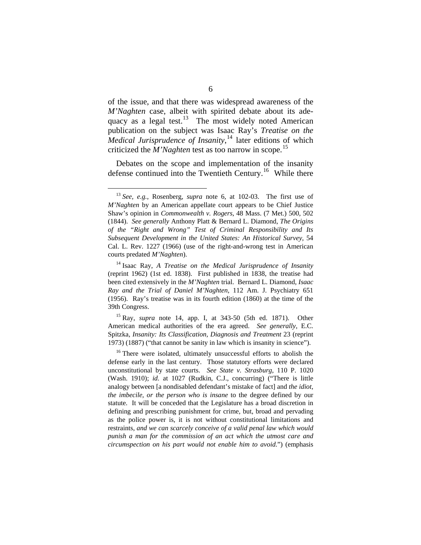of the issue, and that there was widespread awareness of the *M'Naghten* case, albeit with spirited debate about its adequacy as a legal test. $13$  The most widely noted American publication on the subject was Isaac Ray's *Treatise on the Medical Jurisprudence of Insanity*, [14](#page-6-1) later editions of which criticized the *M'Naghten* test as too narrow in scope.<sup>[15](#page-6-2)</sup>

Debates on the scope and implementation of the insanity defense continued into the Twentieth Century.<sup>[16](#page-6-3)</sup> While there

<span id="page-6-2"></span>15 Ray, *supra* note 14, app. I, at 343-50 (5th ed. 1871). Other American medical authorities of the era agreed. *See generally*, E.C. Spitzka, *Insanity: Its Classification, Diagnosis and Treatment* 23 (reprint 1973) (1887) ("that cannot be sanity in law which is insanity in science").

<span id="page-6-0"></span> <sup>13</sup> *See, e.g.*, Rosenberg, *supra* note 6, at 102-03. The first use of *M'Naghten* by an American appellate court appears to be Chief Justice Shaw's opinion in *Commonwealth v. Rogers*, 48 Mass. (7 Met.) 500, 502 (1844). *See generally* Anthony Platt & Bernard L. Diamond, *The Origins of the "Right and Wrong" Test of Criminal Responsibility and Its Subsequent Development in the United States: An Historical Survey*, 54 Cal. L. Rev. 1227 (1966) (use of the right-and-wrong test in American courts predated *M'Naghten*).

<span id="page-6-1"></span><sup>14</sup> Isaac Ray, *A Treatise on the Medical Jurisprudence of Insanity* (reprint 1962) (1st ed. 1838). First published in 1838, the treatise had been cited extensively in the *M'Naghten* trial. Bernard L. Diamond, *Isaac Ray and the Trial of Daniel M'Naghten*, 112 Am. J. Psychiatry 651 (1956). Ray's treatise was in its fourth edition (1860) at the time of the 39th Congress.

<span id="page-6-3"></span><sup>&</sup>lt;sup>16</sup> There were isolated, ultimately unsuccessful efforts to abolish the defense early in the last century. Those statutory efforts were declared unconstitutional by state courts. *See State v. Strasburg*, 110 P. 1020 (Wash. 1910); *id.* at 1027 (Rudkin, C.J., concurring) ("There is little analogy between [a nondisabled defendant's mistake of fact] and *the idiot, the imbecile, or the person who is insane* to the degree defined by our statute. It will be conceded that the Legislature has a broad discretion in defining and prescribing punishment for crime, but, broad and pervading as the police power is, it is not without constitutional limitations and restraints, *and we can scarcely conceive of a valid penal law which would punish a man for the commission of an act which the utmost care and circumspection on his part would not enable him to avoid*.") (emphasis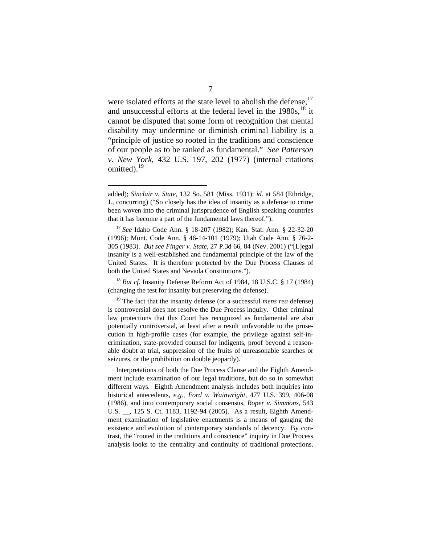were isolated efforts at the state level to abolish the defense,<sup>[17](#page-7-0)</sup> and unsuccessful efforts at the federal level in the  $1980s$ ,  $^{18}$  $^{18}$  $^{18}$  it cannot be disputed that some form of recognition that mental disability may undermine or diminish criminal liability is a "principle of justice so rooted in the traditions and conscience of our people as to be ranked as fundamental." *See Patterson v. New York*, 432 U.S. 197, 202 (1977) (internal citations omitted). $19$ 

added); *Sinclair v. State*, 132 So. 581 (Miss. 1931); *id.* at 584 (Ethridge, J., concurring) ("So closely has the idea of insanity as a defense to crime been woven into the criminal jurisprudence of English speaking countries that it has become a part of the fundamental laws thereof.").

<span id="page-7-0"></span><sup>17</sup> *See* Idaho Code Ann. § 18-207 (1982); Kan. Stat. Ann. § 22-32-20 (1996); Mont. Code Ann. § 46-14-101 (1979); Utah Code Ann. § 76-2- 305 (1983). *But see Finger v. State*, 27 P.3d 66, 84 (Nev. 2001) ("[L]egal insanity is a well-established and fundamental principle of the law of the United States. It is therefore protected by the Due Process Clauses of both the United States and Nevada Constitutions.").

<span id="page-7-1"></span><sup>18</sup> *But cf.* Insanity Defense Reform Act of 1984, 18 U.S.C. § 17 (1984) (changing the test for insanity but preserving the defense).

<span id="page-7-2"></span><sup>&</sup>lt;sup>19</sup> The fact that the insanity defense (or a successful *mens rea* defense) is controversial does not resolve the Due Process inquiry. Other criminal law protections that this Court has recognized as fundamental are also potentially controversial, at least after a result unfavorable to the prosecution in high-profile cases (for example, the privilege against self-incrimination, state-provided counsel for indigents, proof beyond a reasonable doubt at trial, suppression of the fruits of unreasonable searches or seizures, or the prohibition on double jeopardy).

Interpretations of both the Due Process Clause and the Eighth Amendment include examination of our legal traditions, but do so in somewhat different ways. Eighth Amendment analysis includes both inquiries into historical antecedents, *e.g.*, *Ford v. Wainwright*, 477 U.S. 399, 406-08 (1986), and into contemporary social consensus, *Roper v. Simmons*, 543 U.S. \_\_, 125 S. Ct. 1183, 1192-94 (2005). As a result, Eighth Amendment examination of legislative enactments is a means of gauging the existence and evolution of contemporary standards of decency. By contrast, the "rooted in the traditions and conscience" inquiry in Due Process analysis looks to the centrality and continuity of traditional protections.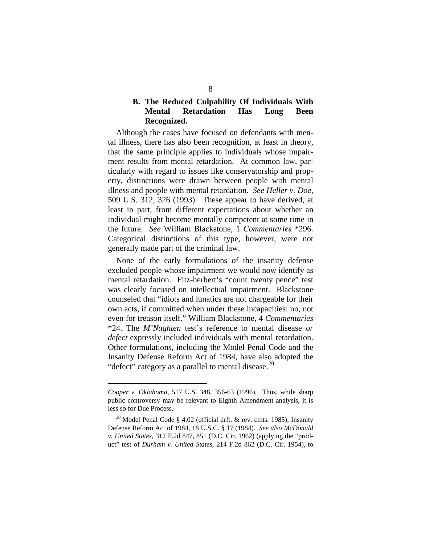#### **B. The Reduced Culpability Of Individuals With Mental Retardation Has Long Been Recognized.**

Although the cases have focused on defendants with mental illness, there has also been recognition, at least in theory, that the same principle applies to individuals whose impairment results from mental retardation. At common law, particularly with regard to issues like conservatorship and property, distinctions were drawn between people with mental illness and people with mental retardation. *See Heller v. Doe*, 509 U.S. 312, 326 (1993). These appear to have derived, at least in part, from different expectations about whether an individual might become mentally competent at some time in the future. *See* William Blackstone, 1 *Commentaries* \*296. Categorical distinctions of this type, however, were not generally made part of the criminal law.

None of the early formulations of the insanity defense excluded people whose impairment we would now identify as mental retardation. Fitz-herbert's "count twenty pence" test was clearly focused on intellectual impairment. Blackstone counseled that "idiots and lunatics are not chargeable for their own acts, if committed when under these incapacities: no, not even for treason itself." William Blackstone, 4 *Commentaries* \*24. The *M'Naghten* test's reference to mental disease *or defect* expressly included individuals with mental retardation. Other formulations, including the Model Penal Code and the Insanity Defense Reform Act of 1984, have also adopted the "defect" category as a parallel to mental disease. $^{20}$  $^{20}$  $^{20}$ 

*Cooper v. Oklahoma*, 517 U.S. 348, 356-63 (1996). Thus, while sharp public controversy may be relevant to Eighth Amendment analysis, it is less so for Due Process.

<span id="page-8-0"></span><sup>&</sup>lt;sup>20</sup> Model Penal Code § 4.02 (official drft. & rev. cmts. 1985); Insanity Defense Reform Act of 1984, 18 U.S.C. § 17 (1984). *See also McDonald v. United States*, 312 F.2d 847, 851 (D.C. Cir. 1962) (applying the "product" test of *Durham v. United States*, 214 F.2d 862 (D.C. Cir. 1954), to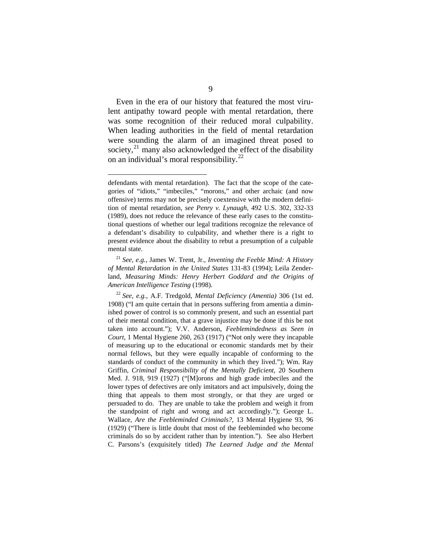Even in the era of our history that featured the most virulent antipathy toward people with mental retardation, there was some recognition of their reduced moral culpability. When leading authorities in the field of mental retardation were sounding the alarm of an imagined threat posed to society, $21$  many also acknowledged the effect of the disability on an individual's moral responsibility.<sup>[22](#page-9-1)</sup>

defendants with mental retardation). The fact that the scope of the categories of "idiots," "imbeciles," "morons," and other archaic (and now offensive) terms may not be precisely coextensive with the modern definition of mental retardation, *see Penry v. Lynaugh*, 492 U.S. 302, 332-33 (1989), does not reduce the relevance of these early cases to the constitutional questions of whether our legal traditions recognize the relevance of a defendant's disability to culpability, and whether there is a right to present evidence about the disability to rebut a presumption of a culpable mental state.

<span id="page-9-0"></span><sup>21</sup> *See, e.g.*, James W. Trent, Jr., *Inventing the Feeble Mind: A History of Mental Retardation in the United States* 131-83 (1994); Leila Zenderland, *Measuring Minds: Henry Herbert Goddard and the Origins of American Intelligence Testing* (1998).

<span id="page-9-1"></span><sup>22</sup> *See, e.g.*, A.F. Tredgold, *Mental Deficiency (Amentia)* 306 (1st ed. 1908) ("I am quite certain that in persons suffering from amentia a diminished power of control is so commonly present, and such an essential part of their mental condition, that a grave injustice may be done if this be not taken into account."); V.V. Anderson, *Feeblemindedness as Seen in Court*, 1 Mental Hygiene 260, 263 (1917) ("Not only were they incapable of measuring up to the educational or economic standards met by their normal fellows, but they were equally incapable of conforming to the standards of conduct of the community in which they lived."); Wm. Ray Griffin, *Criminal Responsibility of the Mentally Deficient*, 20 Southern Med. J. 918, 919 (1927) ("[M]orons and high grade imbeciles and the lower types of defectives are only imitators and act impulsively, doing the thing that appeals to them most strongly, or that they are urged or persuaded to do. They are unable to take the problem and weigh it from the standpoint of right and wrong and act accordingly."); George L. Wallace, *Are the Feebleminded Criminals?*, 13 Mental Hygiene 93, 96 (1929) ("There is little doubt that most of the feebleminded who become criminals do so by accident rather than by intention."). See also Herbert C. Parsons's (exquisitely titled) *The Learned Judge and the Mental*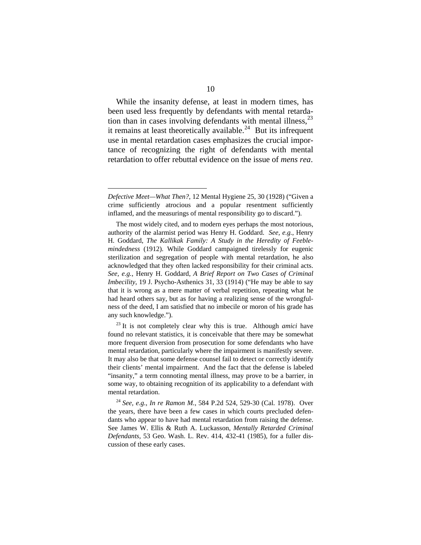While the insanity defense, at least in modern times, has been used less frequently by defendants with mental retardation than in cases involving defendants with mental illness,  $^{23}$  $^{23}$  $^{23}$ it remains at least theoretically available.<sup>[24](#page-10-1)</sup> But its infrequent use in mental retardation cases emphasizes the crucial importance of recognizing the right of defendants with mental retardation to offer rebuttal evidence on the issue of *mens rea*.

*Defective Meet—What Then?*, 12 Mental Hygiene 25, 30 (1928) ("Given a crime sufficiently atrocious and a popular resentment sufficiently inflamed, and the measurings of mental responsibility go to discard.").

The most widely cited, and to modern eyes perhaps the most notorious, authority of the alarmist period was Henry H. Goddard. *See, e.g.*, Henry H. Goddard, *The Kallikak Family: A Study in the Heredity of Feeblemindedness* (1912). While Goddard campaigned tirelessly for eugenic sterilization and segregation of people with mental retardation, he also acknowledged that they often lacked responsibility for their criminal acts. *See, e.g.*, Henry H. Goddard, *A Brief Report on Two Cases of Criminal Imbecility*, 19 J. Psycho-Asthenics 31, 33 (1914) ("He may be able to say that it is wrong as a mere matter of verbal repetition, repeating what he had heard others say, but as for having a realizing sense of the wrongfulness of the deed, I am satisfied that no imbecile or moron of his grade has any such knowledge.").

<span id="page-10-0"></span><sup>&</sup>lt;sup>23</sup> It is not completely clear why this is true. Although *amici* have found no relevant statistics, it is conceivable that there may be somewhat more frequent diversion from prosecution for some defendants who have mental retardation, particularly where the impairment is manifestly severe. It may also be that some defense counsel fail to detect or correctly identify their clients' mental impairment. And the fact that the defense is labeled "insanity," a term connoting mental illness, may prove to be a barrier, in some way, to obtaining recognition of its applicability to a defendant with mental retardation.

<span id="page-10-1"></span><sup>24</sup> *See, e.g.*, *In re Ramon M.*, 584 P.2d 524, 529-30 (Cal. 1978). Over the years, there have been a few cases in which courts precluded defendants who appear to have had mental retardation from raising the defense. See James W. Ellis & Ruth A. Luckasson, *Mentally Retarded Criminal Defendants*, 53 Geo. Wash. L. Rev. 414, 432-41 (1985), for a fuller discussion of these early cases.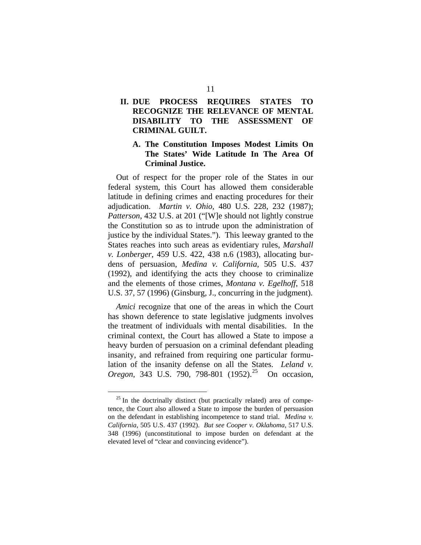### **II. DUE PROCESS REQUIRES STATES TO RECOGNIZE THE RELEVANCE OF MENTAL DISABILITY TO THE ASSESSMENT OF CRIMINAL GUILT.**

#### **A. The Constitution Imposes Modest Limits On The States' Wide Latitude In The Area Of Criminal Justice.**

Out of respect for the proper role of the States in our federal system, this Court has allowed them considerable latitude in defining crimes and enacting procedures for their adjudication. *Martin v. Ohio*, 480 U.S. 228, 232 (1987); *Patterson*, 432 U.S. at 201 ("[W]e should not lightly construe the Constitution so as to intrude upon the administration of justice by the individual States."). This leeway granted to the States reaches into such areas as evidentiary rules, *Marshall v. Lonberger*, 459 U.S. 422, 438 n.6 (1983), allocating burdens of persuasion, *Medina v. California*, 505 U.S. 437 (1992), and identifying the acts they choose to criminalize and the elements of those crimes, *Montana v. Egelhoff*, 518 U.S. 37, 57 (1996) (Ginsburg, J., concurring in the judgment).

*Amici* recognize that one of the areas in which the Court has shown deference to state legislative judgments involves the treatment of individuals with mental disabilities. In the criminal context, the Court has allowed a State to impose a heavy burden of persuasion on a criminal defendant pleading insanity, and refrained from requiring one particular formulation of the insanity defense on all the States. *Leland v. Oregon*, 343 U.S. 790, 798-801 (1952).<sup>[25](#page-11-0)</sup> On occasion,

<span id="page-11-0"></span><sup>&</sup>lt;sup>25</sup> In the doctrinally distinct (but practically related) area of competence, the Court also allowed a State to impose the burden of persuasion on the defendant in establishing incompetence to stand trial. *Medina v. California*, 505 U.S. 437 (1992). *But see Cooper v. Oklahoma*, 517 U.S. 348 (1996) (unconstitutional to impose burden on defendant at the elevated level of "clear and convincing evidence").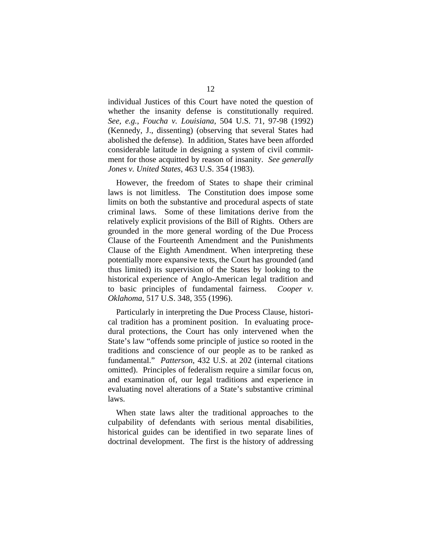individual Justices of this Court have noted the question of whether the insanity defense is constitutionally required. *See, e.g.*, *Foucha v. Louisiana*, 504 U.S. 71, 97-98 (1992) (Kennedy, J., dissenting) (observing that several States had abolished the defense). In addition, States have been afforded considerable latitude in designing a system of civil commitment for those acquitted by reason of insanity. *See generally Jones v. United States*, 463 U.S. 354 (1983).

However, the freedom of States to shape their criminal laws is not limitless. The Constitution does impose some limits on both the substantive and procedural aspects of state criminal laws. Some of these limitations derive from the relatively explicit provisions of the Bill of Rights. Others are grounded in the more general wording of the Due Process Clause of the Fourteenth Amendment and the Punishments Clause of the Eighth Amendment. When interpreting these potentially more expansive texts, the Court has grounded (and thus limited) its supervision of the States by looking to the historical experience of Anglo-American legal tradition and to basic principles of fundamental fairness. *Cooper v. Oklahoma*, 517 U.S. 348, 355 (1996).

Particularly in interpreting the Due Process Clause, historical tradition has a prominent position. In evaluating procedural protections, the Court has only intervened when the State's law "offends some principle of justice so rooted in the traditions and conscience of our people as to be ranked as fundamental." *Patterson*, 432 U.S. at 202 (internal citations omitted). Principles of federalism require a similar focus on, and examination of, our legal traditions and experience in evaluating novel alterations of a State's substantive criminal laws.

When state laws alter the traditional approaches to the culpability of defendants with serious mental disabilities, historical guides can be identified in two separate lines of doctrinal development. The first is the history of addressing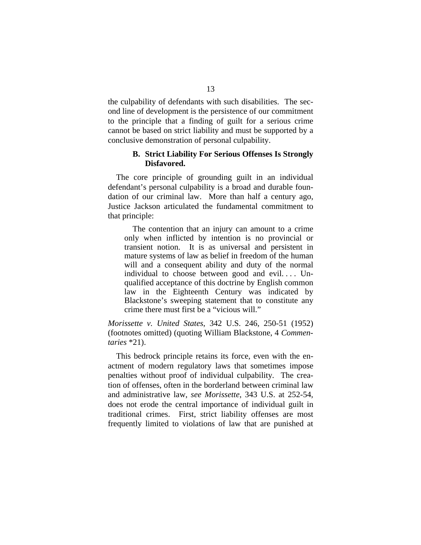the culpability of defendants with such disabilities. The second line of development is the persistence of our commitment to the principle that a finding of guilt for a serious crime cannot be based on strict liability and must be supported by a conclusive demonstration of personal culpability.

#### **B. Strict Liability For Serious Offenses Is Strongly Disfavored.**

The core principle of grounding guilt in an individual defendant's personal culpability is a broad and durable foundation of our criminal law. More than half a century ago, Justice Jackson articulated the fundamental commitment to that principle:

The contention that an injury can amount to a crime only when inflicted by intention is no provincial or transient notion. It is as universal and persistent in mature systems of law as belief in freedom of the human will and a consequent ability and duty of the normal individual to choose between good and evil.... Unqualified acceptance of this doctrine by English common law in the Eighteenth Century was indicated by Blackstone's sweeping statement that to constitute any crime there must first be a "vicious will."

*Morissette v. United States*, 342 U.S. 246, 250-51 (1952) (footnotes omitted) (quoting William Blackstone, 4 *Commentaries* \*21).

This bedrock principle retains its force, even with the enactment of modern regulatory laws that sometimes impose penalties without proof of individual culpability. The creation of offenses, often in the borderland between criminal law and administrative law, *see Morissette*, 343 U.S. at 252-54, does not erode the central importance of individual guilt in traditional crimes. First, strict liability offenses are most frequently limited to violations of law that are punished at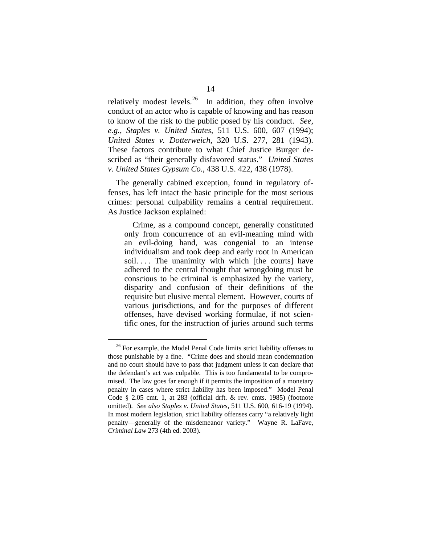relatively modest levels. $^{26}$  $^{26}$  $^{26}$  In addition, they often involve conduct of an actor who is capable of knowing and has reason to know of the risk to the public posed by his conduct. *See, e.g.*, *Staples v. United States*, 511 U.S. 600, 607 (1994); *United States v. Dotterweich*, 320 U.S. 277, 281 (1943). These factors contribute to what Chief Justice Burger described as "their generally disfavored status." *United States v. United States Gypsum Co.*, 438 U.S. 422, 438 (1978).

The generally cabined exception, found in regulatory offenses, has left intact the basic principle for the most serious crimes: personal culpability remains a central requirement. As Justice Jackson explained:

Crime, as a compound concept, generally constituted only from concurrence of an evil-meaning mind with an evil-doing hand, was congenial to an intense individualism and took deep and early root in American soil.... The unanimity with which [the courts] have adhered to the central thought that wrongdoing must be conscious to be criminal is emphasized by the variety, disparity and confusion of their definitions of the requisite but elusive mental element. However, courts of various jurisdictions, and for the purposes of different offenses, have devised working formulae, if not scientific ones, for the instruction of juries around such terms

<span id="page-14-0"></span><sup>&</sup>lt;sup>26</sup> For example, the Model Penal Code limits strict liability offenses to those punishable by a fine. "Crime does and should mean condemnation and no court should have to pass that judgment unless it can declare that the defendant's act was culpable. This is too fundamental to be compromised. The law goes far enough if it permits the imposition of a monetary penalty in cases where strict liability has been imposed." Model Penal Code § 2.05 cmt. 1, at 283 (official drft. & rev. cmts. 1985) (footnote omitted). *See also Staples v. United States*, 511 U.S. 600, 616-19 (1994). In most modern legislation, strict liability offenses carry "a relatively light penalty—generally of the misdemeanor variety." Wayne R. LaFave, *Criminal Law* 273 (4th ed. 2003).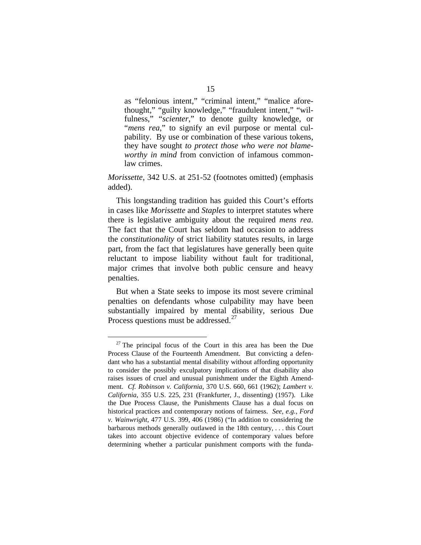as "felonious intent," "criminal intent," "malice aforethought," "guilty knowledge," "fraudulent intent," "wilfulness," "*scienter*," to denote guilty knowledge, or "*mens rea*," to signify an evil purpose or mental culpability. By use or combination of these various tokens, they have sought *to protect those who were not blameworthy in mind* from conviction of infamous commonlaw crimes.

*Morissette*, 342 U.S. at 251-52 (footnotes omitted) (emphasis added).

This longstanding tradition has guided this Court's efforts in cases like *Morissette* and *Staples* to interpret statutes where there is legislative ambiguity about the required *mens rea*. The fact that the Court has seldom had occasion to address the *constitutionality* of strict liability statutes results, in large part, from the fact that legislatures have generally been quite reluctant to impose liability without fault for traditional, major crimes that involve both public censure and heavy penalties.

But when a State seeks to impose its most severe criminal penalties on defendants whose culpability may have been substantially impaired by mental disability, serious Due Process questions must be addressed.<sup>[27](#page-15-0)</sup>

<span id="page-15-0"></span> $27$  The principal focus of the Court in this area has been the Due Process Clause of the Fourteenth Amendment. But convicting a defendant who has a substantial mental disability without affording opportunity to consider the possibly exculpatory implications of that disability also raises issues of cruel and unusual punishment under the Eighth Amendment. *Cf. Robinson v. California*, 370 U.S. 660, 661 (1962); *Lambert v. California*, 355 U.S. 225, 231 (Frankfurter, J., dissenting) (1957). Like the Due Process Clause, the Punishments Clause has a dual focus on historical practices and contemporary notions of fairness. *See, e.g.*, *Ford v. Wainwright*, 477 U.S. 399, 406 (1986) ("In addition to considering the barbarous methods generally outlawed in the 18th century, . . . this Court takes into account objective evidence of contemporary values before determining whether a particular punishment comports with the funda-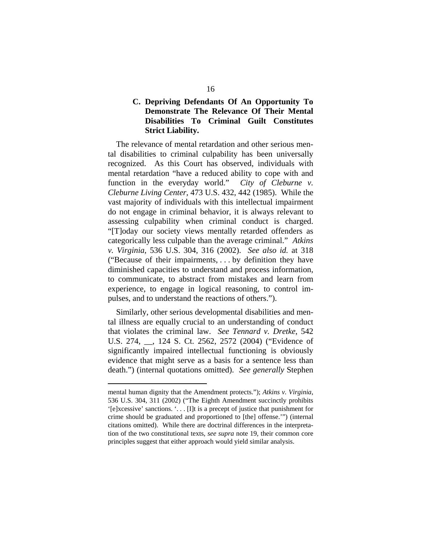### **C. Depriving Defendants Of An Opportunity To Demonstrate The Relevance Of Their Mental Disabilities To Criminal Guilt Constitutes Strict Liability.**

The relevance of mental retardation and other serious mental disabilities to criminal culpability has been universally recognized. As this Court has observed, individuals with mental retardation "have a reduced ability to cope with and function in the everyday world." *City of Cleburne v. Cleburne Living Center*, 473 U.S. 432, 442 (1985). While the vast majority of individuals with this intellectual impairment do not engage in criminal behavior, it is always relevant to assessing culpability when criminal conduct is charged. "[T]oday our society views mentally retarded offenders as categorically less culpable than the average criminal." *Atkins v. Virginia*, 536 U.S. 304, 316 (2002). *See also id.* at 318 ("Because of their impairments, . . . by definition they have diminished capacities to understand and process information, to communicate, to abstract from mistakes and learn from experience, to engage in logical reasoning, to control impulses, and to understand the reactions of others.").

Similarly, other serious developmental disabilities and mental illness are equally crucial to an understanding of conduct that violates the criminal law. *See Tennard v. Dretke*, 542 U.S. 274, \_\_, 124 S. Ct. 2562, 2572 (2004) ("Evidence of significantly impaired intellectual functioning is obviously evidence that might serve as a basis for a sentence less than death.") (internal quotations omitted). *See generally* Stephen

mental human dignity that the Amendment protects."); *Atkins v. Virginia*, 536 U.S. 304, 311 (2002) ("The Eighth Amendment succinctly prohibits '[e]xcessive' sanctions. '. . . [I]t is a precept of justice that punishment for crime should be graduated and proportioned to [the] offense.'") (internal citations omitted). While there are doctrinal differences in the interpretation of the two constitutional texts, *see supra* note 19, their common core principles suggest that either approach would yield similar analysis.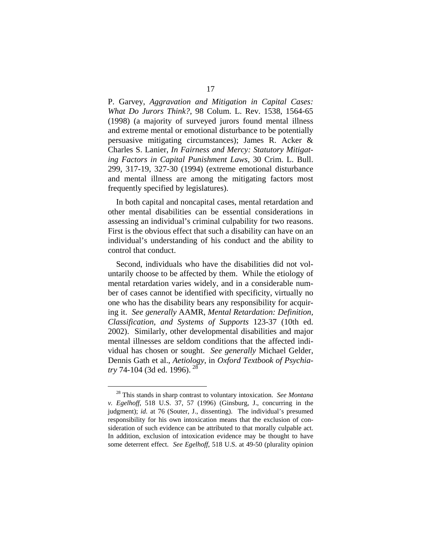P. Garvey, *Aggravation and Mitigation in Capital Cases: What Do Jurors Think?*, 98 Colum. L. Rev. 1538, 1564-65 (1998) (a majority of surveyed jurors found mental illness and extreme mental or emotional disturbance to be potentially persuasive mitigating circumstances); James R. Acker & Charles S. Lanier, *In Fairness and Mercy: Statutory Mitigating Factors in Capital Punishment Laws*, 30 Crim. L. Bull. 299, 317-19, 327-30 (1994) (extreme emotional disturbance and mental illness are among the mitigating factors most frequently specified by legislatures).

In both capital and noncapital cases, mental retardation and other mental disabilities can be essential considerations in assessing an individual's criminal culpability for two reasons. First is the obvious effect that such a disability can have on an individual's understanding of his conduct and the ability to control that conduct.

Second, individuals who have the disabilities did not voluntarily choose to be affected by them. While the etiology of mental retardation varies widely, and in a considerable number of cases cannot be identified with specificity, virtually no one who has the disability bears any responsibility for acquiring it. *See generally* AAMR, *Mental Retardation: Definition, Classification, and Systems of Supports* 123-37 (10th ed. 2002). Similarly, other developmental disabilities and major mental illnesses are seldom conditions that the affected individual has chosen or sought. *See generally* Michael Gelder, Dennis Gath et al., *Aetiology*, in *Oxford Textbook of Psychiatry* 74-104 (3d ed. 1996). [28](#page-17-0)

<span id="page-17-0"></span> <sup>28</sup> This stands in sharp contrast to voluntary intoxication. *See Montana v. Egelhoff*, 518 U.S. 37, 57 (1996) (Ginsburg, J., concurring in the judgment); *id.* at 76 (Souter, J., dissenting). The individual's presumed responsibility for his own intoxication means that the exclusion of consideration of such evidence can be attributed to that morally culpable act. In addition, exclusion of intoxication evidence may be thought to have some deterrent effect. *See Egelhoff*, 518 U.S. at 49-50 (plurality opinion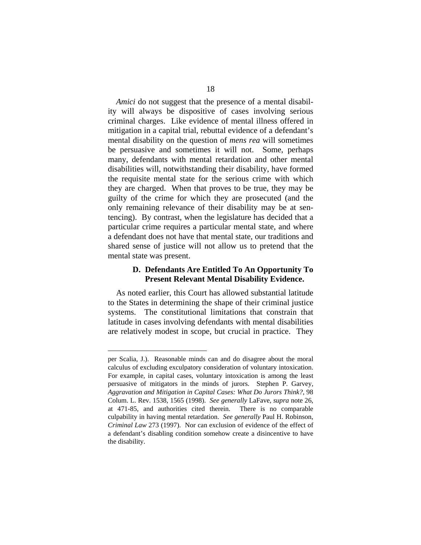*Amici* do not suggest that the presence of a mental disability will always be dispositive of cases involving serious criminal charges. Like evidence of mental illness offered in mitigation in a capital trial, rebuttal evidence of a defendant's mental disability on the question of *mens rea* will sometimes be persuasive and sometimes it will not. Some, perhaps many, defendants with mental retardation and other mental disabilities will, notwithstanding their disability, have formed the requisite mental state for the serious crime with which they are charged. When that proves to be true, they may be guilty of the crime for which they are prosecuted (and the only remaining relevance of their disability may be at sentencing). By contrast, when the legislature has decided that a particular crime requires a particular mental state, and where a defendant does not have that mental state*,* our traditions and shared sense of justice will not allow us to pretend that the mental state was present.

#### **D. Defendants Are Entitled To An Opportunity To Present Relevant Mental Disability Evidence.**

As noted earlier, this Court has allowed substantial latitude to the States in determining the shape of their criminal justice systems. The constitutional limitations that constrain that latitude in cases involving defendants with mental disabilities are relatively modest in scope, but crucial in practice. They

per Scalia, J.). Reasonable minds can and do disagree about the moral calculus of excluding exculpatory consideration of voluntary intoxication. For example, in capital cases, voluntary intoxication is among the least persuasive of mitigators in the minds of jurors. Stephen P. Garvey, *Aggravation and Mitigation in Capital Cases: What Do Jurors Think?*, 98 Colum. L. Rev. 1538, 1565 (1998). *See generally* LaFave, *supra* note 26, at 471-85, and authorities cited therein. There is no comparable culpability in having mental retardation. *See generally* Paul H. Robinson, *Criminal Law* 273 (1997). Nor can exclusion of evidence of the effect of a defendant's disabling condition somehow create a disincentive to have the disability.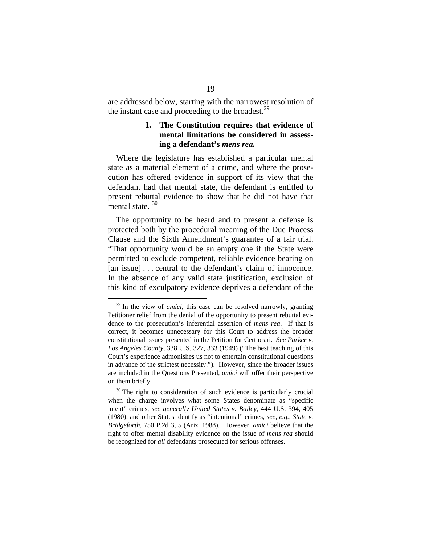are addressed below, starting with the narrowest resolution of the instant case and proceeding to the broadest.<sup>[29](#page-19-0)</sup>

#### **1. The Constitution requires that evidence of mental limitations be considered in assessing a defendant's** *mens rea.*

Where the legislature has established a particular mental state as a material element of a crime, and where the prosecution has offered evidence in support of its view that the defendant had that mental state, the defendant is entitled to present rebuttal evidence to show that he did not have that mental state. [30](#page-19-1)

The opportunity to be heard and to present a defense is protected both by the procedural meaning of the Due Process Clause and the Sixth Amendment's guarantee of a fair trial. "That opportunity would be an empty one if the State were permitted to exclude competent, reliable evidence bearing on [an issue] . . . central to the defendant's claim of innocence. In the absence of any valid state justification, exclusion of this kind of exculpatory evidence deprives a defendant of the

<span id="page-19-0"></span><sup>&</sup>lt;sup>29</sup> In the view of *amici*, this case can be resolved narrowly, granting Petitioner relief from the denial of the opportunity to present rebuttal evidence to the prosecution's inferential assertion of *mens rea*. If that is correct, it becomes unnecessary for this Court to address the broader constitutional issues presented in the Petition for Certiorari. *See Parker v. Los Angeles County*, 338 U.S. 327, 333 (1949) ("The best teaching of this Court's experience admonishes us not to entertain constitutional questions in advance of the strictest necessity."). However, since the broader issues are included in the Questions Presented, *amici* will offer their perspective on them briefly.

<span id="page-19-1"></span> $30$  The right to consideration of such evidence is particularly crucial when the charge involves what some States denominate as "specific intent" crimes, *see generally United States v. Bailey*, 444 U.S. 394, 405 (1980), and other States identify as "intentional" crimes, *see, e.g.*, *State v. Bridgeforth*, 750 P.2d 3, 5 (Ariz. 1988). However, *amici* believe that the right to offer mental disability evidence on the issue of *mens rea* should be recognized for *all* defendants prosecuted for serious offenses.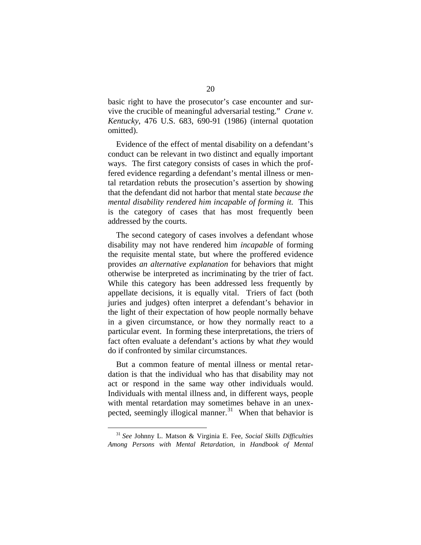basic right to have the prosecutor's case encounter and survive the crucible of meaningful adversarial testing." *Crane v. Kentucky*, 476 U.S. 683, 690-91 (1986) (internal quotation omitted).

Evidence of the effect of mental disability on a defendant's conduct can be relevant in two distinct and equally important ways. The first category consists of cases in which the proffered evidence regarding a defendant's mental illness or mental retardation rebuts the prosecution's assertion by showing that the defendant did not harbor that mental state *because the mental disability rendered him incapable of forming it.* This is the category of cases that has most frequently been addressed by the courts.

The second category of cases involves a defendant whose disability may not have rendered him *incapable* of forming the requisite mental state, but where the proffered evidence provides *an alternative explanation* for behaviors that might otherwise be interpreted as incriminating by the trier of fact. While this category has been addressed less frequently by appellate decisions, it is equally vital. Triers of fact (both juries and judges) often interpret a defendant's behavior in the light of their expectation of how people normally behave in a given circumstance, or how they normally react to a particular event. In forming these interpretations, the triers of fact often evaluate a defendant's actions by what *they* would do if confronted by similar circumstances.

But a common feature of mental illness or mental retardation is that the individual who has that disability may not act or respond in the same way other individuals would. Individuals with mental illness and, in different ways, people with mental retardation may sometimes behave in an unex-pected, seemingly illogical manner.<sup>[31](#page-20-0)</sup> When that behavior is

<span id="page-20-0"></span> <sup>31</sup> *See* Johnny L. Matson & Virginia E. Fee, *Social Skills Difficulties Among Persons with Mental Retardation*, in *Handbook of Mental*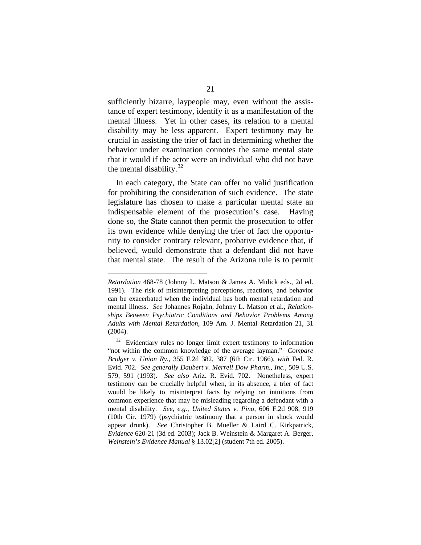sufficiently bizarre, laypeople may, even without the assistance of expert testimony, identify it as a manifestation of the mental illness. Yet in other cases, its relation to a mental disability may be less apparent. Expert testimony may be crucial in assisting the trier of fact in determining whether the behavior under examination connotes the same mental state that it would if the actor were an individual who did not have the mental disability. $32$ 

In each category, the State can offer no valid justification for prohibiting the consideration of such evidence. The state legislature has chosen to make a particular mental state an indispensable element of the prosecution's case. Having done so, the State cannot then permit the prosecution to offer its own evidence while denying the trier of fact the opportunity to consider contrary relevant, probative evidence that, if believed, would demonstrate that a defendant did not have that mental state. The result of the Arizona rule is to permit

*Retardation* 468-78 (Johnny L. Matson & James A. Mulick eds., 2d ed. 1991). The risk of misinterpreting perceptions, reactions, and behavior can be exacerbated when the individual has both mental retardation and mental illness. *See* Johannes Rojahn, Johnny L. Matson et al., *Relationships Between Psychiatric Conditions and Behavior Problems Among Adults with Mental Retardation*, 109 Am. J. Mental Retardation 21, 31 (2004).

<span id="page-21-0"></span><sup>&</sup>lt;sup>32</sup> Evidentiary rules no longer limit expert testimony to information "not within the common knowledge of the average layman." *Compare Bridger v. Union Ry.*, 355 F.2d 382, 387 (6th Cir. 1966), *with* Fed. R. Evid. 702. *See generally Daubert v. Merrell Dow Pharm., Inc.*, 509 U.S. 579, 591 (1993). *See also* Ariz. R. Evid. 702. Nonetheless, expert testimony can be crucially helpful when, in its absence, a trier of fact would be likely to misinterpret facts by relying on intuitions from common experience that may be misleading regarding a defendant with a mental disability. *See, e.g.*, *United States v. Pino*, 606 F.2d 908, 919 (10th Cir. 1979) (psychiatric testimony that a person in shock would appear drunk). *See* Christopher B. Mueller & Laird C. Kirkpatrick, *Evidence* 620-21 (3d ed. 2003); Jack B. Weinstein & Margaret A. Berger, *Weinstein's Evidence Manual* § 13.02[2] (student 7th ed. 2005).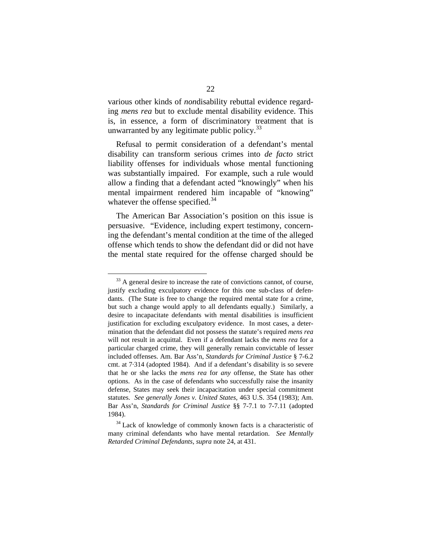various other kinds of *non*disability rebuttal evidence regarding *mens rea* but to exclude mental disability evidence. This is, in essence, a form of discriminatory treatment that is unwarranted by any legitimate public policy. $33$ 

Refusal to permit consideration of a defendant's mental disability can transform serious crimes into *de facto* strict liability offenses for individuals whose mental functioning was substantially impaired. For example, such a rule would allow a finding that a defendant acted "knowingly" when his mental impairment rendered him incapable of "knowing" whatever the offense specified. $34$ 

The American Bar Association's position on this issue is persuasive. "Evidence, including expert testimony, concerning the defendant's mental condition at the time of the alleged offense which tends to show the defendant did or did not have the mental state required for the offense charged should be

<span id="page-22-0"></span><sup>&</sup>lt;sup>33</sup> A general desire to increase the rate of convictions cannot, of course, justify excluding exculpatory evidence for this one sub-class of defendants. (The State is free to change the required mental state for a crime, but such a change would apply to all defendants equally.) Similarly, a desire to incapacitate defendants with mental disabilities is insufficient justification for excluding exculpatory evidence. In most cases, a determination that the defendant did not possess the statute's required *mens rea* will not result in acquittal. Even if a defendant lacks the *mens rea* for a particular charged crime, they will generally remain convictable of lesser included offenses. Am. Bar Ass'n, *Standards for Criminal Justice* § 7-6.2 cmt. at 7·314 (adopted 1984). And if a defendant's disability is so severe that he or she lacks the *mens rea* for *any* offense, the State has other options. As in the case of defendants who successfully raise the insanity defense, States may seek their incapacitation under special commitment statutes. *See generally Jones v. United States*, 463 U.S. 354 (1983); Am. Bar Ass'n, *Standards for Criminal Justice* §§ 7-7.1 to 7-7.11 (adopted 1984).

<span id="page-22-1"></span> $34$  Lack of knowledge of commonly known facts is a characteristic of many criminal defendants who have mental retardation. *See Mentally Retarded Criminal Defendants*, *supra* note 24, at 431.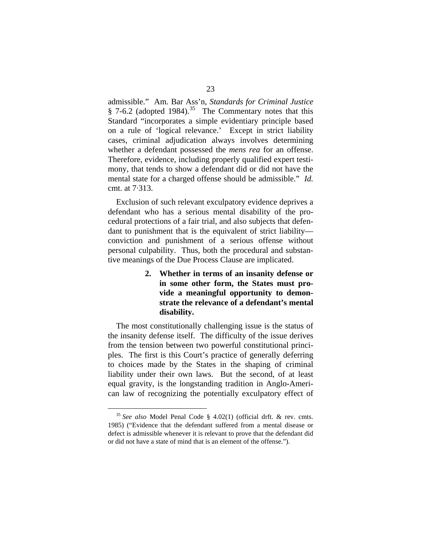admissible." Am. Bar Ass'n, *Standards for Criminal Justice* § 7-6.2 (adopted 1984).<sup>[35](#page-23-0)</sup> The Commentary notes that this Standard "incorporates a simple evidentiary principle based on a rule of 'logical relevance.' Except in strict liability cases, criminal adjudication always involves determining whether a defendant possessed the *mens rea* for an offense. Therefore, evidence, including properly qualified expert testimony, that tends to show a defendant did or did not have the mental state for a charged offense should be admissible." *Id.* cmt. at 7·313.

Exclusion of such relevant exculpatory evidence deprives a defendant who has a serious mental disability of the procedural protections of a fair trial, and also subjects that defendant to punishment that is the equivalent of strict liability conviction and punishment of a serious offense without personal culpability. Thus, both the procedural and substantive meanings of the Due Process Clause are implicated.

> **2. Whether in terms of an insanity defense or in some other form, the States must provide a meaningful opportunity to demonstrate the relevance of a defendant's mental disability.**

The most constitutionally challenging issue is the status of the insanity defense itself. The difficulty of the issue derives from the tension between two powerful constitutional principles. The first is this Court's practice of generally deferring to choices made by the States in the shaping of criminal liability under their own laws. But the second, of at least equal gravity, is the longstanding tradition in Anglo-American law of recognizing the potentially exculpatory effect of

<span id="page-23-0"></span> <sup>35</sup> *See also* Model Penal Code § 4.02(1) (official drft. & rev. cmts. 1985) ("Evidence that the defendant suffered from a mental disease or defect is admissible whenever it is relevant to prove that the defendant did or did not have a state of mind that is an element of the offense.").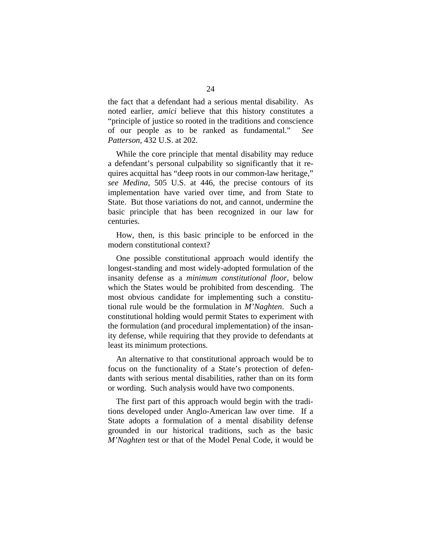the fact that a defendant had a serious mental disability. As noted earlier, *amici* believe that this history constitutes a "principle of justice so rooted in the traditions and conscience of our people as to be ranked as fundamental." *See Patterson*, 432 U.S. at 202.

While the core principle that mental disability may reduce a defendant's personal culpability so significantly that it requires acquittal has "deep roots in our common-law heritage," *see Medina*, 505 U.S. at 446, the precise contours of its implementation have varied over time, and from State to State. But those variations do not, and cannot, undermine the basic principle that has been recognized in our law for centuries.

How, then, is this basic principle to be enforced in the modern constitutional context?

One possible constitutional approach would identify the longest-standing and most widely-adopted formulation of the insanity defense as a *minimum constitutional floor*, below which the States would be prohibited from descending. The most obvious candidate for implementing such a constitutional rule would be the formulation in *M'Naghten*. Such a constitutional holding would permit States to experiment with the formulation (and procedural implementation) of the insanity defense, while requiring that they provide to defendants at least its minimum protections.

An alternative to that constitutional approach would be to focus on the functionality of a State's protection of defendants with serious mental disabilities, rather than on its form or wording. Such analysis would have two components.

The first part of this approach would begin with the traditions developed under Anglo-American law over time. If a State adopts a formulation of a mental disability defense grounded in our historical traditions, such as the basic *M'Naghten* test or that of the Model Penal Code, it would be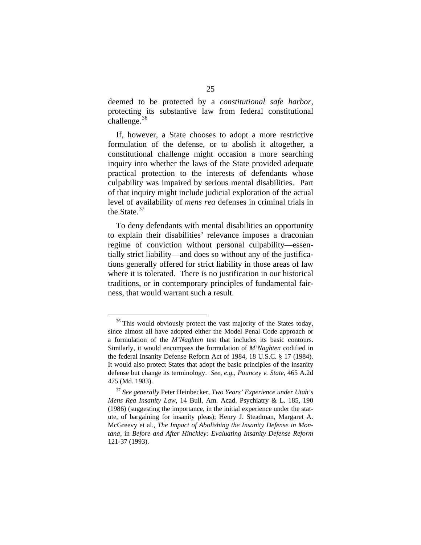deemed to be protected by a *constitutional safe harbor*, protecting its substantive law from federal constitutional challenge. $36$ 

If, however, a State chooses to adopt a more restrictive formulation of the defense, or to abolish it altogether, a constitutional challenge might occasion a more searching inquiry into whether the laws of the State provided adequate practical protection to the interests of defendants whose culpability was impaired by serious mental disabilities. Part of that inquiry might include judicial exploration of the actual level of availability of *mens rea* defenses in criminal trials in the State. $37$ 

To deny defendants with mental disabilities an opportunity to explain their disabilities' relevance imposes a draconian regime of conviction without personal culpability—essentially strict liability—and does so without any of the justifications generally offered for strict liability in those areas of law where it is tolerated. There is no justification in our historical traditions, or in contemporary principles of fundamental fairness, that would warrant such a result.

<span id="page-25-0"></span><sup>&</sup>lt;sup>36</sup> This would obviously protect the vast majority of the States today, since almost all have adopted either the Model Penal Code approach or a formulation of the *M'Naghten* test that includes its basic contours. Similarly, it would encompass the formulation of *M'Naghten* codified in the federal Insanity Defense Reform Act of 1984, 18 U.S.C. § 17 (1984). It would also protect States that adopt the basic principles of the insanity defense but change its terminology. *See, e.g.*, *Pouncey v. State*, 465 A.2d 475 (Md. 1983).

<span id="page-25-1"></span><sup>37</sup> *See generally* Peter Heinbecker, *Two Years' Experience under Utah's Mens Rea Insanity Law*, 14 Bull. Am. Acad. Psychiatry & L. 185, 190 (1986) (suggesting the importance, in the initial experience under the statute, of bargaining for insanity pleas); Henry J. Steadman, Margaret A. McGreevy et al., *The Impact of Abolishing the Insanity Defense in Montana*, in *Before and After Hinckley: Evaluating Insanity Defense Reform* 121-37 (1993).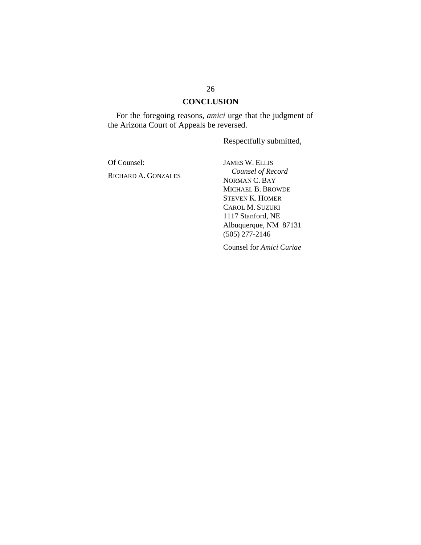### **CONCLUSION**

For the foregoing reasons, *amici* urge that the judgment of the Arizona Court of Appeals be reversed.

Respectfully submitted,

Of Counsel: RICHARD A. GONZALES

JAMES W. ELLIS *Counsel of Record*  NORMAN C. BAY MICHAEL B. BROWDE STEVEN K. HOMER CAROL M. SUZUKI 1117 Stanford, NE Albuquerque, NM 87131 (505) 277-2146

Counsel for *Amici Curiae*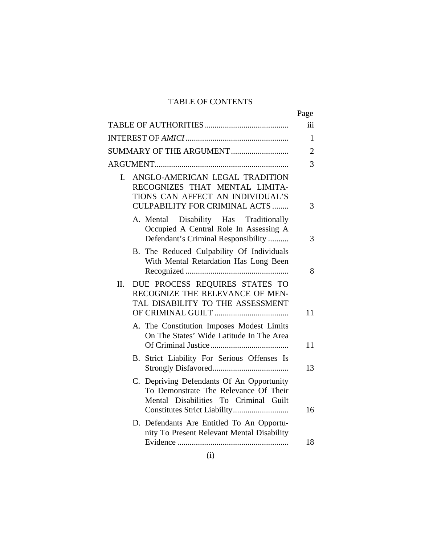# TABLE OF CONTENTS

|                                                                                                                                                     | Page |
|-----------------------------------------------------------------------------------------------------------------------------------------------------|------|
|                                                                                                                                                     | iii  |
|                                                                                                                                                     | 1    |
| SUMMARY OF THE ARGUMENT                                                                                                                             | 2    |
|                                                                                                                                                     | 3    |
| ANGLO-AMERICAN LEGAL TRADITION<br>L.<br>RECOGNIZES THAT MENTAL LIMITA-<br>TIONS CAN AFFECT AN INDIVIDUAL'S<br><b>CULPABILITY FOR CRIMINAL ACTS </b> | 3    |
| A. Mental Disability Has Traditionally<br>Occupied A Central Role In Assessing A<br>Defendant's Criminal Responsibility                             | 3    |
| B. The Reduced Culpability Of Individuals<br>With Mental Retardation Has Long Been                                                                  | 8    |
| DUE PROCESS REQUIRES STATES TO<br>П.<br>RECOGNIZE THE RELEVANCE OF MEN-<br>TAL DISABILITY TO THE ASSESSMENT                                         | 11   |
| A. The Constitution Imposes Modest Limits<br>On The States' Wide Latitude In The Area                                                               | 11   |
| Strict Liability For Serious Offenses Is<br>В.                                                                                                      | 13   |
| C. Depriving Defendants Of An Opportunity<br>To Demonstrate The Relevance Of Their<br>Disabilities To Criminal Guilt<br>Mental                      | 16   |
| D. Defendants Are Entitled To An Opportu-<br>nity To Present Relevant Mental Disability                                                             | 18   |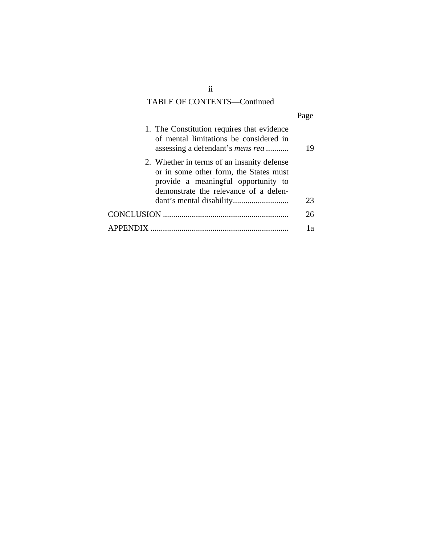# TABLE OF CONTENTS—Continued

|                                                                                                                                                                      | Page |
|----------------------------------------------------------------------------------------------------------------------------------------------------------------------|------|
| 1. The Constitution requires that evidence<br>of mental limitations be considered in<br>assessing a defendant's <i>mens rea</i>                                      | 19   |
| 2. Whether in terms of an insanity defense<br>or in some other form, the States must<br>provide a meaningful opportunity to<br>demonstrate the relevance of a defen- |      |
|                                                                                                                                                                      | 23   |
|                                                                                                                                                                      | 26   |
|                                                                                                                                                                      | 1a   |

ii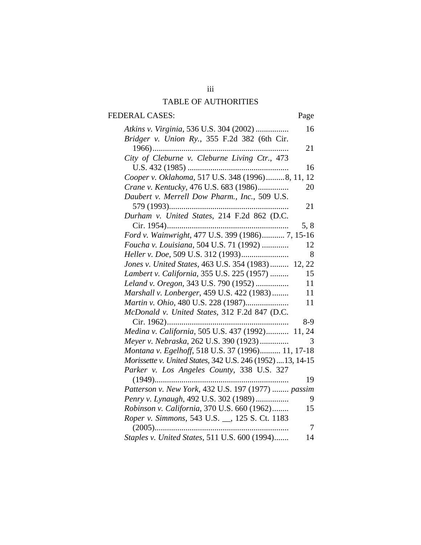# iii TABLE OF AUTHORITIES

# FEDERAL CASES: Page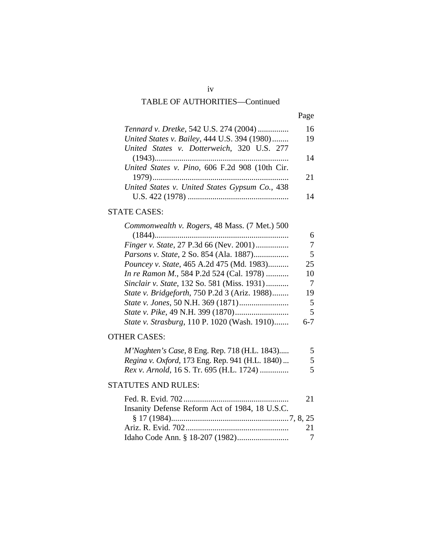#### Page **Page**

| Tennard v. Dretke, 542 U.S. 274 (2004)         | 16 |
|------------------------------------------------|----|
| United States v. Bailey, 444 U.S. 394 (1980)   | 19 |
| United States v. Dotterweich, 320 U.S. 277     |    |
|                                                | 14 |
| United States v. Pino, 606 F.2d 908 (10th Cir. |    |
|                                                | 21 |
| United States v. United States Gypsum Co., 438 |    |
|                                                |    |

## STATE CASES:

| Commonwealth v. Rogers, 48 Mass. (7 Met.) 500  |     |
|------------------------------------------------|-----|
|                                                |     |
| <i>Finger v. State, 27 P.3d 66 (Nev. 2001)</i> |     |
| Parsons v. State, 2 So. 854 (Ala. 1887)        | 5   |
| Pouncey v. State, 465 A.2d 475 (Md. 1983)      | 25  |
| In re Ramon M., 584 P.2d 524 (Cal. 1978)       | 10  |
| Sinclair v. State, 132 So. 581 (Miss. 1931)    | 7   |
| State v. Bridgeforth, 750 P.2d 3 (Ariz. 1988)  | 19  |
|                                                | 5   |
|                                                | 5   |
| State v. Strasburg, 110 P. 1020 (Wash. 1910)   | 6-7 |

## OTHER CASES:

| <i>M'Naghten's Case</i> , 8 Eng. Rep. 718 (H.L. 1843)   | 5 |
|---------------------------------------------------------|---|
| <i>Regina v. Oxford</i> , 173 Eng. Rep. 941 (H.L. 1840) | 5 |
| Rex v. Arnold, 16 S. Tr. 695 (H.L. 1724)                | 5 |

# STATUTES AND RULES:

|                                                | 21 |
|------------------------------------------------|----|
| Insanity Defense Reform Act of 1984, 18 U.S.C. |    |
|                                                |    |
|                                                |    |
|                                                |    |

#### iv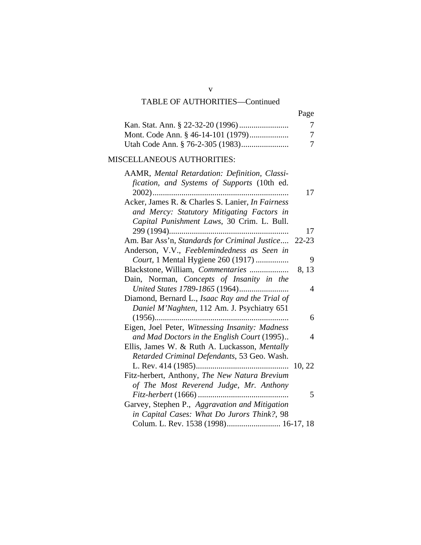| Page |
|------|
|      |

| 7 |
|---|
| 7 |
| 7 |

## MISCELLANEOUS AUTHORITIES:

| AAMR, Mental Retardation: Definition, Classi-<br>fication, and Systems of Supports (10th ed. |           |
|----------------------------------------------------------------------------------------------|-----------|
| $2002)$                                                                                      | 17        |
| Acker, James R. & Charles S. Lanier, In Fairness                                             |           |
| and Mercy: Statutory Mitigating Factors in                                                   |           |
| Capital Punishment Laws, 30 Crim. L. Bull.                                                   |           |
|                                                                                              | 17        |
| Am. Bar Ass'n, Standards for Criminal Justice                                                | $22 - 23$ |
| Anderson, V.V., Feeblemindedness as Seen in                                                  |           |
| Court, 1 Mental Hygiene 260 (1917)                                                           | 9         |
| Blackstone, William, Commentaries                                                            | 8, 13     |
| Dain, Norman, Concepts of Insanity in the                                                    |           |
| United States 1789-1865 (1964)                                                               | 4         |
| Diamond, Bernard L., Isaac Ray and the Trial of                                              |           |
| Daniel M'Naghten, 112 Am. J. Psychiatry 651                                                  |           |
|                                                                                              | 6         |
| Eigen, Joel Peter, Witnessing Insanity: Madness                                              |           |
| and Mad Doctors in the English Court (1995)                                                  | 4         |
| Ellis, James W. & Ruth A. Luckasson, Mentally                                                |           |
| Retarded Criminal Defendants, 53 Geo. Wash.                                                  |           |
|                                                                                              | 10, 22    |
| Fitz-herbert, Anthony, The New Natura Brevium                                                |           |
| of The Most Reverend Judge, Mr. Anthony                                                      |           |
|                                                                                              | 5         |
| Garvey, Stephen P., Aggravation and Mitigation                                               |           |
| in Capital Cases: What Do Jurors Think?, 98                                                  |           |
| Colum. L. Rev. 1538 (1998) 16-17, 18                                                         |           |

v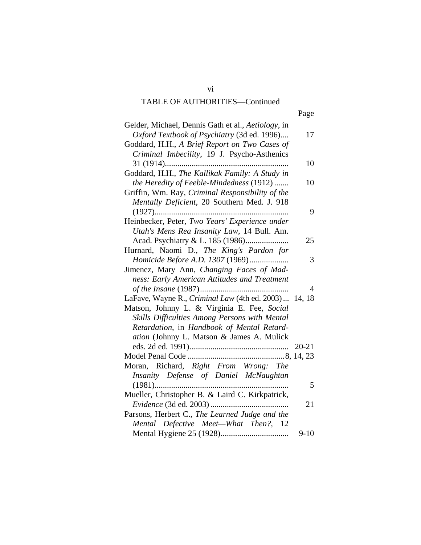Page **Page** 

| 17                                                    |
|-------------------------------------------------------|
|                                                       |
|                                                       |
| 10                                                    |
|                                                       |
| 10                                                    |
|                                                       |
|                                                       |
| 9                                                     |
|                                                       |
|                                                       |
| 25                                                    |
|                                                       |
| 3                                                     |
|                                                       |
|                                                       |
| 4                                                     |
| LaFave, Wayne R., Criminal Law (4th ed. 2003)  14, 18 |
|                                                       |
|                                                       |
|                                                       |
|                                                       |
| $20 - 21$                                             |
|                                                       |
|                                                       |
|                                                       |
| 5                                                     |
|                                                       |
| 21                                                    |
|                                                       |
|                                                       |
| $9 - 10$                                              |
|                                                       |

vi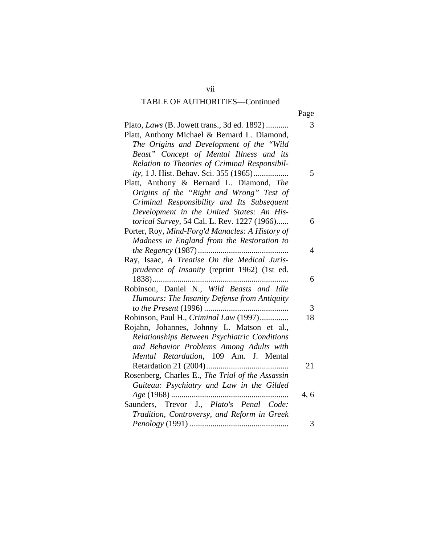|                                                  | Page |
|--------------------------------------------------|------|
| Plato, Laws (B. Jowett trans., 3d ed. 1892)      | 3    |
| Platt, Anthony Michael & Bernard L. Diamond,     |      |
| The Origins and Development of the "Wild         |      |
| Beast" Concept of Mental Illness and its         |      |
| Relation to Theories of Criminal Responsibil-    |      |
| ity, 1 J. Hist. Behav. Sci. 355 (1965)           | 5    |
| Platt, Anthony & Bernard L. Diamond, The         |      |
| Origins of the "Right and Wrong" Test of         |      |
| Criminal Responsibility and Its Subsequent       |      |
| Development in the United States: An His-        |      |
| torical Survey, 54 Cal. L. Rev. 1227 (1966)      | 6    |
| Porter, Roy, Mind-Forg'd Manacles: A History of  |      |
| Madness in England from the Restoration to       |      |
|                                                  | 4    |
| Ray, Isaac, A Treatise On the Medical Juris-     |      |
| prudence of Insanity (reprint 1962) (1st ed.     |      |
|                                                  | 6    |
| Robinson, Daniel N., Wild Beasts and Idle        |      |
| Humours: The Insanity Defense from Antiquity     |      |
|                                                  | 3    |
| Robinson, Paul H., Criminal Law (1997)           | 18   |
| Rojahn, Johannes, Johnny L. Matson et al.,       |      |
| Relationships Between Psychiatric Conditions     |      |
| and Behavior Problems Among Adults with          |      |
| Mental Retardation, 109 Am. J. Mental            |      |
|                                                  | 21   |
| Rosenberg, Charles E., The Trial of the Assassin |      |
| Guiteau: Psychiatry and Law in the Gilded        |      |
| Age (1968)                                       | 4,6  |
| Saunders, Trevor J., Plato's Penal Code:         |      |
| Tradition, Controversy, and Reform in Greek      |      |
|                                                  | 3    |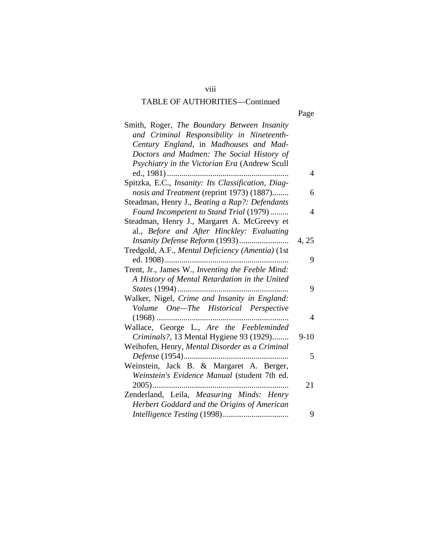| Page |
|------|
|      |

| Smith, Roger, The Boundary Between Insanity        |                |
|----------------------------------------------------|----------------|
| and Criminal Responsibility in Nineteenth-         |                |
| Century England, in Madhouses and Mad-             |                |
| Doctors and Madmen: The Social History of          |                |
| Psychiatry in the Victorian Era (Andrew Scull      |                |
|                                                    | 4              |
| Spitzka, E.C., Insanity: Its Classification, Diag- |                |
| nosis and Treatment (reprint 1973) (1887)          | 6              |
| Steadman, Henry J., Beating a Rap?: Defendants     |                |
| Found Incompetent to Stand Trial (1979)            | 4              |
| Steadman, Henry J., Margaret A. McGreevy et        |                |
| al., Before and After Hinckley: Evaluating         |                |
| Insanity Defense Reform (1993)                     | 4, 25          |
| Tredgold, A.F., Mental Deficiency (Amentia) (1st   |                |
|                                                    | 9              |
| Trent, Jr., James W., Inventing the Feeble Mind:   |                |
| A History of Mental Retardation in the United      |                |
|                                                    | 9              |
| Walker, Nigel, Crime and Insanity in England:      |                |
| Volume One-The Historical Perspective              |                |
|                                                    | $\overline{4}$ |
| Wallace, George L., Are the Feebleminded           |                |
| Criminals?, 13 Mental Hygiene 93 (1929)            | $9-10$         |
| Weihofen, Henry, Mental Disorder as a Criminal     |                |
|                                                    | 5              |
| Weinstein, Jack B. & Margaret A. Berger,           |                |
| Weinstein's Evidence Manual (student 7th ed.       |                |
|                                                    | 21             |
| Zenderland, Leila, Measuring Minds: Henry          |                |
| Herbert Goddard and the Origins of American        |                |
|                                                    | 9              |
|                                                    |                |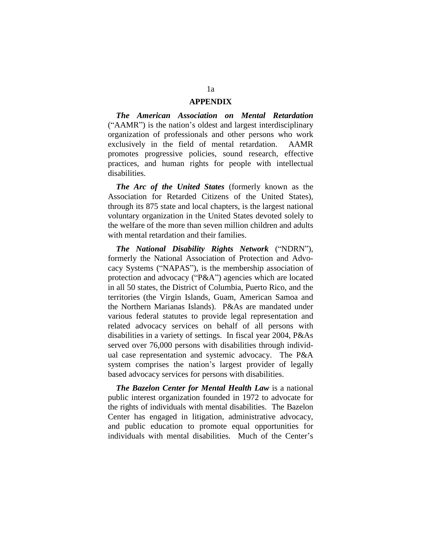#### **APPENDIX**

*The American Association on Mental Retardation* ("AAMR") is the nation's oldest and largest interdisciplinary organization of professionals and other persons who work exclusively in the field of mental retardation. AAMR promotes progressive policies, sound research, effective practices, and human rights for people with intellectual disabilities.

*The Arc of the United States* (formerly known as the Association for Retarded Citizens of the United States), through its 875 state and local chapters, is the largest national voluntary organization in the United States devoted solely to the welfare of the more than seven million children and adults with mental retardation and their families.

*The National Disability Rights Network* ("NDRN"), formerly the National Association of Protection and Advocacy Systems ("NAPAS"), is the membership association of protection and advocacy ("P&A") agencies which are located in all 50 states, the District of Columbia, Puerto Rico, and the territories (the Virgin Islands, Guam, American Samoa and the Northern Marianas Islands). P&As are mandated under various federal statutes to provide legal representation and related advocacy services on behalf of all persons with disabilities in a variety of settings. In fiscal year 2004, P&As served over 76,000 persons with disabilities through individual case representation and systemic advocacy. The P&A system comprises the nation's largest provider of legally based advocacy services for persons with disabilities.

*The Bazelon Center for Mental Health Law* is a national public interest organization founded in 1972 to advocate for the rights of individuals with mental disabilities. The Bazelon Center has engaged in litigation, administrative advocacy, and public education to promote equal opportunities for individuals with mental disabilities. Much of the Center's